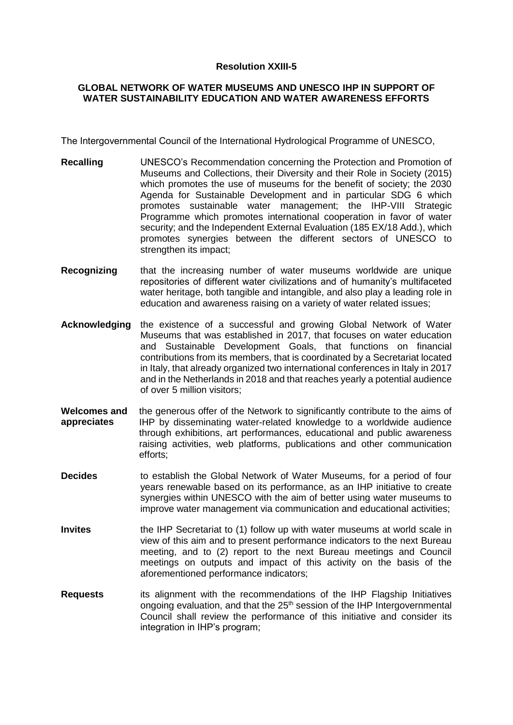## **Resolution XXIII-5**

## **GLOBAL NETWORK OF WATER MUSEUMS AND UNESCO IHP IN SUPPORT OF WATER SUSTAINABILITY EDUCATION AND WATER AWARENESS EFFORTS**

The Intergovernmental Council of the International Hydrological Programme of UNESCO,

- **Recalling** UNESCO's Recommendation concerning the Protection and Promotion of Museums and Collections, their Diversity and their Role in Society (2015) which promotes the use of museums for the benefit of society; the 2030 Agenda for Sustainable Development and in particular SDG 6 which promotes sustainable water management; the IHP-VIII Strategic Programme which promotes international cooperation in favor of water security; and the Independent External Evaluation (185 EX/18 Add.), which promotes synergies between the different sectors of UNESCO to strengthen its impact;
- **Recognizing** that the increasing number of water museums worldwide are unique repositories of different water civilizations and of humanity's multifaceted water heritage, both tangible and intangible, and also play a leading role in education and awareness raising on a variety of water related issues;
- **Acknowledging** the existence of a successful and growing Global Network of Water Museums that was established in 2017, that focuses on water education and Sustainable Development Goals, that functions on financial contributions from its members, that is coordinated by a Secretariat located in Italy, that already organized two international conferences in Italy in 2017 and in the Netherlands in 2018 and that reaches yearly a potential audience of over 5 million visitors;
- **Welcomes and appreciates**  the generous offer of the Network to significantly contribute to the aims of IHP by disseminating water-related knowledge to a worldwide audience through exhibitions, art performances, educational and public awareness raising activities, web platforms, publications and other communication efforts;
- **Decides** to establish the Global Network of Water Museums, for a period of four years renewable based on its performance, as an IHP initiative to create synergies within UNESCO with the aim of better using water museums to improve water management via communication and educational activities;
- **Invites** the IHP Secretariat to (1) follow up with water museums at world scale in view of this aim and to present performance indicators to the next Bureau meeting, and to (2) report to the next Bureau meetings and Council meetings on outputs and impact of this activity on the basis of the aforementioned performance indicators;
- **Requests** its alignment with the recommendations of the IHP Flagship Initiatives ongoing evaluation, and that the 25<sup>th</sup> session of the IHP Intergovernmental Council shall review the performance of this initiative and consider its integration in IHP's program;